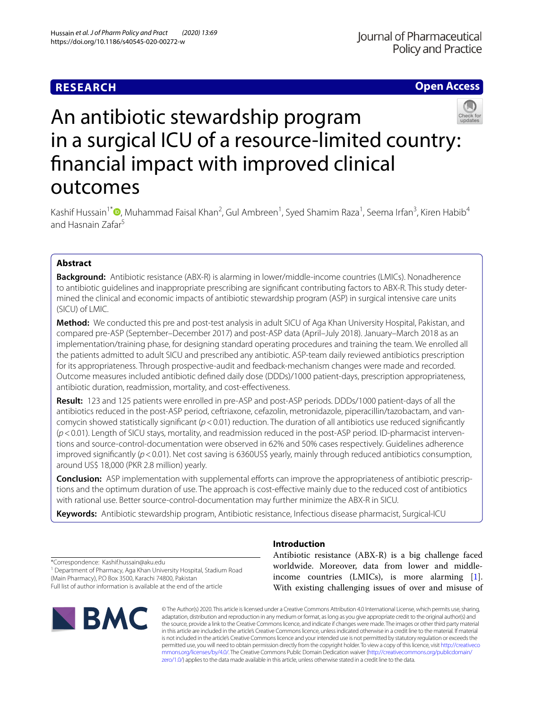# **RESEARCH**

**Open Access**



Kashif Hussain<sup>1\*</sup> <sup>(D</sup>[,](http://orcid.org/0000-0001-9836-1696) Muhammad Faisal Khan<sup>2</sup>, Gul Ambreen<sup>1</sup>, Syed Shamim Raza<sup>1</sup>, Seema Irfan<sup>3</sup>, Kiren Habib<sup>4</sup> and Hasnain Zafar5

# **Abstract**

**Background:** Antibiotic resistance (ABX-R) is alarming in lower/middle-income countries (LMICs). Nonadherence to antibiotic guidelines and inappropriate prescribing are signifcant contributing factors to ABX-R. This study determined the clinical and economic impacts of antibiotic stewardship program (ASP) in surgical intensive care units (SICU) of LMIC.

**Method:** We conducted this pre and post-test analysis in adult SICU of Aga Khan University Hospital, Pakistan, and compared pre-ASP (September–December 2017) and post-ASP data (April–July 2018). January–March 2018 as an implementation/training phase, for designing standard operating procedures and training the team. We enrolled all the patients admitted to adult SICU and prescribed any antibiotic. ASP-team daily reviewed antibiotics prescription for its appropriateness. Through prospective-audit and feedback-mechanism changes were made and recorded. Outcome measures included antibiotic defned daily dose (DDDs)/1000 patient-days, prescription appropriateness, antibiotic duration, readmission, mortality, and cost-efectiveness.

**Result:** 123 and 125 patients were enrolled in pre-ASP and post-ASP periods. DDDs/1000 patient-days of all the antibiotics reduced in the post-ASP period, ceftriaxone, cefazolin, metronidazole, piperacillin/tazobactam, and vancomycin showed statistically signifcant (*p*<0.01) reduction. The duration of all antibiotics use reduced signifcantly (*p*<0.01). Length of SICU stays, mortality, and readmission reduced in the post-ASP period. ID-pharmacist interventions and source-control-documentation were observed in 62% and 50% cases respectively. Guidelines adherence improved signifcantly (*p*<0.01). Net cost saving is 6360US\$ yearly, mainly through reduced antibiotics consumption, around US\$ 18,000 (PKR 2.8 million) yearly.

**Conclusion:** ASP implementation with supplemental efforts can improve the appropriateness of antibiotic prescriptions and the optimum duration of use. The approach is cost-efective mainly due to the reduced cost of antibiotics with rational use. Better source-control-documentation may further minimize the ABX-R in SICU.

**Keywords:** Antibiotic stewardship program, Antibiotic resistance, Infectious disease pharmacist, Surgical-ICU

\*Correspondence: Kashif.hussain@aku.edu

<sup>1</sup> Department of Pharmacy, Aga Khan University Hospital, Stadium Road (Main Pharmacy), P.O Box 3500, Karachi 74800, Pakistan

Full list of author information is available at the end of the article



# **Introduction**

Antibiotic resistance (ABX-R) is a big challenge faced worldwide. Moreover, data from lower and middleincome countries (LMICs), is more alarming [\[1](#page-8-0)]. With existing challenging issues of over and misuse of

© The Author(s) 2020. This article is licensed under a Creative Commons Attribution 4.0 International License, which permits use, sharing, adaptation, distribution and reproduction in any medium or format, as long as you give appropriate credit to the original author(s) and the source, provide a link to the Creative Commons licence, and indicate if changes were made. The images or other third party material in this article are included in the article's Creative Commons licence, unless indicated otherwise in a credit line to the material. If material is not included in the article's Creative Commons licence and your intended use is not permitted by statutory regulation or exceeds the permitted use, you will need to obtain permission directly from the copyright holder. To view a copy of this licence, visit [http://creativeco](http://creativecommons.org/licenses/by/4.0/) [mmons.org/licenses/by/4.0/.](http://creativecommons.org/licenses/by/4.0/) The Creative Commons Public Domain Dedication waiver ([http://creativecommons.org/publicdomain/](http://creativecommons.org/publicdomain/zero/1.0/) [zero/1.0/\)](http://creativecommons.org/publicdomain/zero/1.0/) applies to the data made available in this article, unless otherwise stated in a credit line to the data.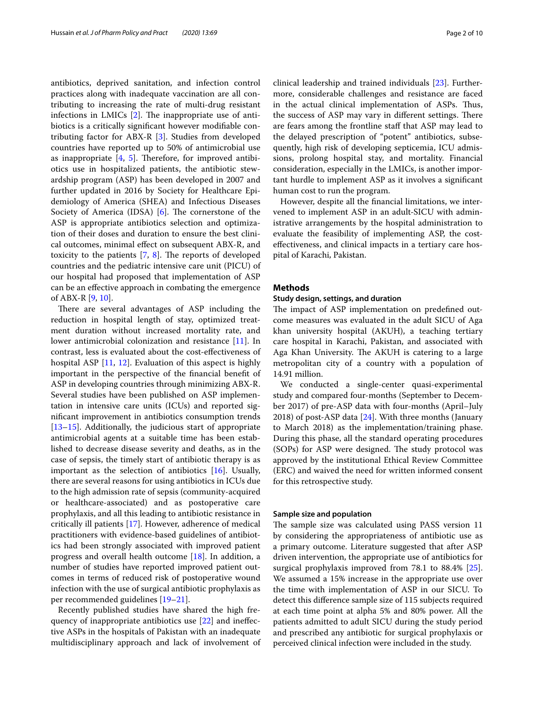antibiotics, deprived sanitation, and infection control practices along with inadequate vaccination are all contributing to increasing the rate of multi-drug resistant infections in LMICs  $[2]$  $[2]$ . The inappropriate use of antibiotics is a critically signifcant however modifable contributing factor for ABX-R [[3\]](#page-8-2). Studies from developed countries have reported up to 50% of antimicrobial use as inappropriate  $[4, 5]$  $[4, 5]$  $[4, 5]$  $[4, 5]$ . Therefore, for improved antibiotics use in hospitalized patients, the antibiotic stewardship program (ASP) has been developed in 2007 and further updated in 2016 by Society for Healthcare Epidemiology of America (SHEA) and Infectious Diseases Society of America (IDSA)  $[6]$  $[6]$ . The cornerstone of the ASP is appropriate antibiotics selection and optimization of their doses and duration to ensure the best clinical outcomes, minimal efect on subsequent ABX-R, and toxicity to the patients  $[7, 8]$  $[7, 8]$  $[7, 8]$  $[7, 8]$ . The reports of developed countries and the pediatric intensive care unit (PICU) of our hospital had proposed that implementation of ASP can be an efective approach in combating the emergence of ABX-R [[9](#page-8-8), [10\]](#page-8-9).

There are several advantages of ASP including the reduction in hospital length of stay, optimized treatment duration without increased mortality rate, and lower antimicrobial colonization and resistance [[11\]](#page-8-10). In contrast, less is evaluated about the cost-efectiveness of hospital ASP [[11](#page-8-10), [12\]](#page-8-11). Evaluation of this aspect is highly important in the perspective of the fnancial beneft of ASP in developing countries through minimizing ABX-R. Several studies have been published on ASP implementation in intensive care units (ICUs) and reported signifcant improvement in antibiotics consumption trends [[13–](#page-8-12)[15](#page-8-13)]. Additionally, the judicious start of appropriate antimicrobial agents at a suitable time has been established to decrease disease severity and deaths, as in the case of sepsis, the timely start of antibiotic therapy is as important as the selection of antibiotics [[16](#page-8-14)]. Usually, there are several reasons for using antibiotics in ICUs due to the high admission rate of sepsis (community-acquired or healthcare-associated) and as postoperative care prophylaxis, and all this leading to antibiotic resistance in critically ill patients [[17\]](#page-8-15). However, adherence of medical practitioners with evidence-based guidelines of antibiotics had been strongly associated with improved patient progress and overall health outcome [[18](#page-8-16)]. In addition, a number of studies have reported improved patient outcomes in terms of reduced risk of postoperative wound infection with the use of surgical antibiotic prophylaxis as per recommended guidelines [\[19–](#page-8-17)[21\]](#page-8-18).

Recently published studies have shared the high frequency of inappropriate antibiotics use [\[22](#page-8-19)] and inefective ASPs in the hospitals of Pakistan with an inadequate multidisciplinary approach and lack of involvement of clinical leadership and trained individuals [[23\]](#page-8-20). Furthermore, considerable challenges and resistance are faced in the actual clinical implementation of ASPs. Thus, the success of ASP may vary in different settings. There are fears among the frontline staff that ASP may lead to the delayed prescription of "potent" antibiotics, subsequently, high risk of developing septicemia, ICU admissions, prolong hospital stay, and mortality. Financial consideration, especially in the LMICs, is another important hurdle to implement ASP as it involves a signifcant human cost to run the program.

However, despite all the fnancial limitations, we intervened to implement ASP in an adult-SICU with administrative arrangements by the hospital administration to evaluate the feasibility of implementing ASP, the costefectiveness, and clinical impacts in a tertiary care hospital of Karachi, Pakistan.

# **Methods**

### **Study design, settings, and duration**

The impact of ASP implementation on predefined outcome measures was evaluated in the adult SICU of Aga khan university hospital (AKUH), a teaching tertiary care hospital in Karachi, Pakistan, and associated with Aga Khan University. The AKUH is catering to a large metropolitan city of a country with a population of 14.91 million.

We conducted a single-center quasi-experimental study and compared four-months (September to December 2017) of pre-ASP data with four-months (April–July 2018) of post-ASP data [\[24\]](#page-9-0). With three months (January to March 2018) as the implementation/training phase. During this phase, all the standard operating procedures (SOPs) for ASP were designed. The study protocol was approved by the institutional Ethical Review Committee (ERC) and waived the need for written informed consent for this retrospective study.

# **Sample size and population**

The sample size was calculated using PASS version 11 by considering the appropriateness of antibiotic use as a primary outcome. Literature suggested that after ASP driven intervention, the appropriate use of antibiotics for surgical prophylaxis improved from 78.1 to 88.4% [\[25](#page-9-1)]. We assumed a 15% increase in the appropriate use over the time with implementation of ASP in our SICU. To detect this diference sample size of 115 subjects required at each time point at alpha 5% and 80% power. All the patients admitted to adult SICU during the study period and prescribed any antibiotic for surgical prophylaxis or perceived clinical infection were included in the study.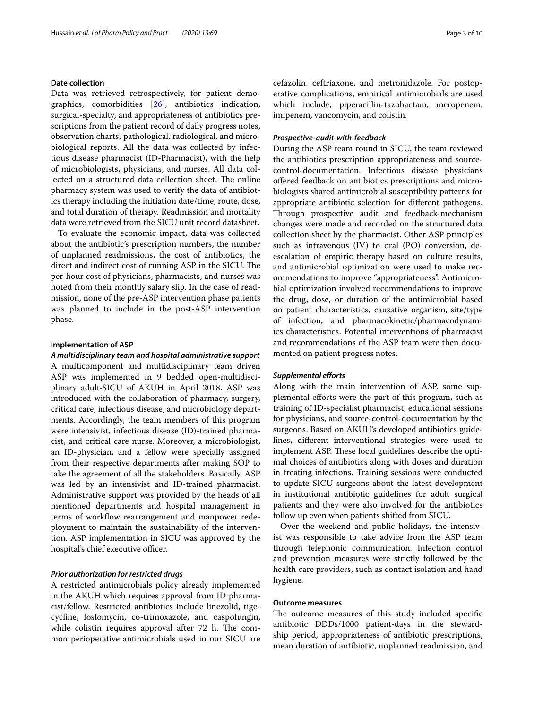# **Date collection**

Data was retrieved retrospectively, for patient demographics, comorbidities [\[26\]](#page-9-2), antibiotics indication, surgical-specialty, and appropriateness of antibiotics prescriptions from the patient record of daily progress notes, observation charts, pathological, radiological, and microbiological reports. All the data was collected by infectious disease pharmacist (ID-Pharmacist), with the help of microbiologists, physicians, and nurses. All data collected on a structured data collection sheet. The online pharmacy system was used to verify the data of antibiotics therapy including the initiation date/time, route, dose, and total duration of therapy. Readmission and mortality data were retrieved from the SICU unit record datasheet.

To evaluate the economic impact, data was collected about the antibiotic's prescription numbers, the number of unplanned readmissions, the cost of antibiotics, the direct and indirect cost of running ASP in the SICU. The per-hour cost of physicians, pharmacists, and nurses was noted from their monthly salary slip. In the case of readmission, none of the pre-ASP intervention phase patients was planned to include in the post-ASP intervention phase.

## **Implementation of ASP**

*A multidisciplinary team and hospital administrative support* A multicomponent and multidisciplinary team driven ASP was implemented in 9 bedded open-multidisciplinary adult-SICU of AKUH in April 2018. ASP was introduced with the collaboration of pharmacy, surgery, critical care, infectious disease, and microbiology departments. Accordingly, the team members of this program were intensivist, infectious disease (ID)-trained pharmacist, and critical care nurse. Moreover, a microbiologist, an ID-physician, and a fellow were specially assigned from their respective departments after making SOP to take the agreement of all the stakeholders. Basically, ASP was led by an intensivist and ID-trained pharmacist. Administrative support was provided by the heads of all mentioned departments and hospital management in terms of workflow rearrangement and manpower redeployment to maintain the sustainability of the intervention. ASP implementation in SICU was approved by the hospital's chief executive officer.

# *Prior authorization for restricted drugs*

A restricted antimicrobials policy already implemented in the AKUH which requires approval from ID pharmacist/fellow. Restricted antibiotics include linezolid, tigecycline, fosfomycin, co-trimoxazole, and caspofungin, while colistin requires approval after 72 h. The common perioperative antimicrobials used in our SICU are cefazolin, ceftriaxone, and metronidazole. For postoperative complications, empirical antimicrobials are used which include, piperacillin-tazobactam, meropenem, imipenem, vancomycin, and colistin.

### *Prospective‑audit‑with‑feedback*

During the ASP team round in SICU, the team reviewed the antibiotics prescription appropriateness and sourcecontrol-documentation. Infectious disease physicians ofered feedback on antibiotics prescriptions and microbiologists shared antimicrobial susceptibility patterns for appropriate antibiotic selection for diferent pathogens. Through prospective audit and feedback-mechanism changes were made and recorded on the structured data collection sheet by the pharmacist. Other ASP principles such as intravenous (IV) to oral (PO) conversion, deescalation of empiric therapy based on culture results, and antimicrobial optimization were used to make recommendations to improve "appropriateness". Antimicrobial optimization involved recommendations to improve the drug, dose, or duration of the antimicrobial based on patient characteristics, causative organism, site/type of infection, and pharmacokinetic/pharmacodynamics characteristics. Potential interventions of pharmacist and recommendations of the ASP team were then documented on patient progress notes.

# *Supplemental eforts*

Along with the main intervention of ASP, some supplemental eforts were the part of this program, such as training of ID-specialist pharmacist, educational sessions for physicians, and source-control-documentation by the surgeons. Based on AKUH's developed antibiotics guidelines, diferent interventional strategies were used to implement ASP. These local guidelines describe the optimal choices of antibiotics along with doses and duration in treating infections. Training sessions were conducted to update SICU surgeons about the latest development in institutional antibiotic guidelines for adult surgical patients and they were also involved for the antibiotics follow up even when patients shifted from SICU.

Over the weekend and public holidays, the intensivist was responsible to take advice from the ASP team through telephonic communication. Infection control and prevention measures were strictly followed by the health care providers, such as contact isolation and hand hygiene.

# **Outcome measures**

The outcome measures of this study included specific antibiotic DDDs/1000 patient-days in the stewardship period, appropriateness of antibiotic prescriptions, mean duration of antibiotic, unplanned readmission, and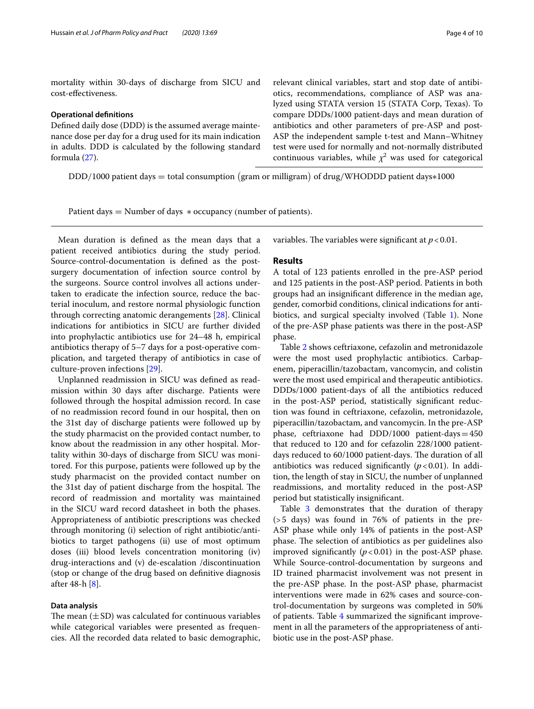mortality within 30-days of discharge from SICU and cost-efectiveness.

### **Operational defnitions**

Defned daily dose (DDD) is the assumed average maintenance dose per day for a drug used for its main indication in adults. DDD is calculated by the following standard formula ([27](#page-9-3)).

relevant clinical variables, start and stop date of antibiotics, recommendations, compliance of ASP was analyzed using STATA version 15 (STATA Corp, Texas). To compare DDDs/1000 patient-days and mean duration of antibiotics and other parameters of pre-ASP and post-ASP the independent sample t-test and Mann–Whitney test were used for normally and not-normally distributed continuous variables, while  $\chi^2$  was used for categorical

DDD/1000 patient days = total consumption (gram or milligram) of drug/WHODDD patient days∗1000

Patient days  $=$  Number of days  $*$  occupancy (number of patients).

Mean duration is defned as the mean days that a patient received antibiotics during the study period. Source-control-documentation is defned as the postsurgery documentation of infection source control by the surgeons. Source control involves all actions undertaken to eradicate the infection source, reduce the bacterial inoculum, and restore normal physiologic function through correcting anatomic derangements [\[28\]](#page-9-4). Clinical indications for antibiotics in SICU are further divided into prophylactic antibiotics use for 24–48 h, empirical antibiotics therapy of 5–7 days for a post-operative complication, and targeted therapy of antibiotics in case of culture-proven infections [\[29](#page-9-5)].

Unplanned readmission in SICU was defned as readmission within 30 days after discharge. Patients were followed through the hospital admission record. In case of no readmission record found in our hospital, then on the 31st day of discharge patients were followed up by the study pharmacist on the provided contact number, to know about the readmission in any other hospital. Mortality within 30-days of discharge from SICU was monitored. For this purpose, patients were followed up by the study pharmacist on the provided contact number on the 31st day of patient discharge from the hospital. The record of readmission and mortality was maintained in the SICU ward record datasheet in both the phases. Appropriateness of antibiotic prescriptions was checked through monitoring (i) selection of right antibiotic/antibiotics to target pathogens (ii) use of most optimum doses (iii) blood levels concentration monitoring (iv) drug-interactions and (v) de-escalation /discontinuation (stop or change of the drug based on defnitive diagnosis after 48-h [\[8](#page-8-7)].

# **Data analysis**

The mean  $(\pm SD)$  was calculated for continuous variables while categorical variables were presented as frequencies. All the recorded data related to basic demographic, variables. The variables were significant at  $p < 0.01$ .

# **Results**

A total of 123 patients enrolled in the pre-ASP period and 125 patients in the post-ASP period. Patients in both groups had an insignifcant diference in the median age, gender, comorbid conditions, clinical indications for antibiotics, and surgical specialty involved (Table [1\)](#page-4-0). None of the pre-ASP phase patients was there in the post-ASP phase.

Table [2](#page-5-0) shows ceftriaxone, cefazolin and metronidazole were the most used prophylactic antibiotics. Carbapenem, piperacillin/tazobactam, vancomycin, and colistin were the most used empirical and therapeutic antibiotics. DDDs/1000 patient-days of all the antibiotics reduced in the post-ASP period, statistically signifcant reduction was found in ceftriaxone, cefazolin, metronidazole, piperacillin/tazobactam, and vancomycin. In the pre-ASP phase, ceftriaxone had DDD/1000 patient-days $=450$ that reduced to 120 and for cefazolin 228/1000 patientdays reduced to 60/1000 patient-days. The duration of all antibiotics was reduced significantly  $(p<0.01)$ . In addition, the length of stay in SICU, the number of unplanned readmissions, and mortality reduced in the post-ASP period but statistically insignifcant.

Table [3](#page-5-1) demonstrates that the duration of therapy (>5 days) was found in 76% of patients in the pre-ASP phase while only 14% of patients in the post-ASP phase. The selection of antibiotics as per guidelines also improved significantly  $(p < 0.01)$  in the post-ASP phase. While Source-control-documentation by surgeons and ID trained pharmacist involvement was not present in the pre-ASP phase. In the post-ASP phase, pharmacist interventions were made in 62% cases and source-control-documentation by surgeons was completed in 50% of patients. Table [4](#page-5-2) summarized the signifcant improvement in all the parameters of the appropriateness of antibiotic use in the post-ASP phase.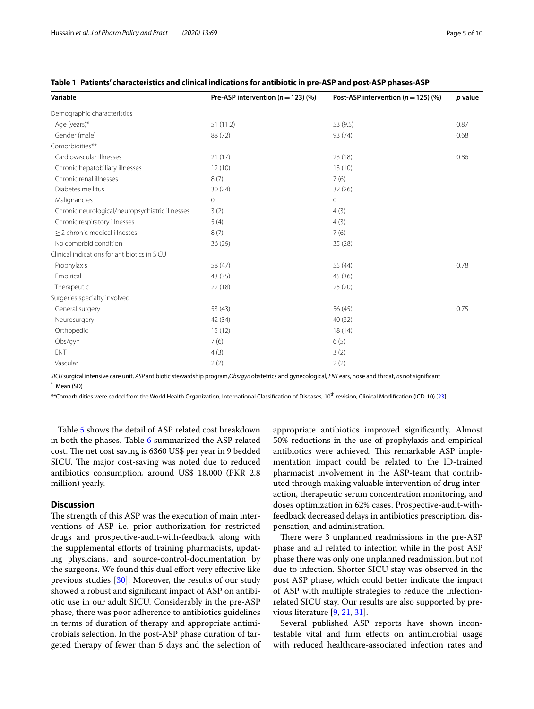| Variable                                        | Pre-ASP intervention ( $n = 123$ ) (%) | Post-ASP intervention ( $n = 125$ ) (%) | p value |
|-------------------------------------------------|----------------------------------------|-----------------------------------------|---------|
| Demographic characteristics                     |                                        |                                         |         |
| Age (years)*                                    | 51(11.2)                               | 53 (9.5)                                | 0.87    |
| Gender (male)                                   | 88 (72)                                | 93 (74)                                 | 0.68    |
| Comorbidities**                                 |                                        |                                         |         |
| Cardiovascular illnesses                        | 21(17)                                 | 23(18)                                  | 0.86    |
| Chronic hepatobiliary illnesses                 | 12(10)                                 | 13(10)                                  |         |
| Chronic renal illnesses                         | 8(7)                                   | 7(6)                                    |         |
| Diabetes mellitus                               | 30(24)                                 | 32(26)                                  |         |
| Malignancies                                    | $\overline{0}$                         | $\mathbf{0}$                            |         |
| Chronic neurological/neuropsychiatric illnesses | 3(2)                                   | 4(3)                                    |         |
| Chronic respiratory illnesses                   | 5(4)                                   | 4(3)                                    |         |
| $\geq$ 2 chronic medical illnesses              | 8(7)                                   | 7(6)                                    |         |
| No comorbid condition                           | 36(29)                                 | 35(28)                                  |         |
| Clinical indications for antibiotics in SICU    |                                        |                                         |         |
| Prophylaxis                                     | 58 (47)                                | 55 (44)                                 | 0.78    |
| Empirical                                       | 43 (35)                                | 45 (36)                                 |         |
| Therapeutic                                     | 22(18)                                 | 25(20)                                  |         |
| Surgeries specialty involved                    |                                        |                                         |         |
| General surgery                                 | 53(43)                                 | 56 (45)                                 | 0.75    |
| Neurosurgery                                    | 42 (34)                                | 40 (32)                                 |         |
| Orthopedic                                      | 15(12)                                 | 18(14)                                  |         |
| Obs/gyn                                         | 7(6)                                   | 6(5)                                    |         |
| ENT                                             | 4(3)                                   | 3(2)                                    |         |
| Vascular                                        | 2(2)                                   | 2(2)                                    |         |

# <span id="page-4-0"></span>**Table 1 Patients' characteristics and clinical indications for antibiotic in pre-ASP and post-ASP phases-ASP**

*SICU*surgical intensive care unit, *ASP*antibiotic stewardship program,*Obs/gyn*obstetrics and gynecological, *ENT*ears, nose and throat, *ns*not signifcant Mean (SD)

\*\*Comorbidities were coded from the World Health Organization, International Classification of Diseases, 10<sup>th</sup> revision, Clinical Modification (ICD-10) [[23\]](#page-8-20)

Table [5](#page-6-0) shows the detail of ASP related cost breakdown in both the phases. Table [6](#page-6-1) summarized the ASP related cost. The net cost saving is 6360 US\$ per year in 9 bedded SICU. The major cost-saving was noted due to reduced antibiotics consumption, around US\$ 18,000 (PKR 2.8 million) yearly.

# **Discussion**

The strength of this ASP was the execution of main interventions of ASP i.e. prior authorization for restricted drugs and prospective-audit-with-feedback along with the supplemental efforts of training pharmacists, updating physicians, and source-control-documentation by the surgeons. We found this dual efort very efective like previous studies [[30\]](#page-9-6). Moreover, the results of our study showed a robust and signifcant impact of ASP on antibiotic use in our adult SICU. Considerably in the pre-ASP phase, there was poor adherence to antibiotics guidelines in terms of duration of therapy and appropriate antimicrobials selection. In the post-ASP phase duration of targeted therapy of fewer than 5 days and the selection of appropriate antibiotics improved signifcantly. Almost 50% reductions in the use of prophylaxis and empirical antibiotics were achieved. This remarkable ASP implementation impact could be related to the ID-trained pharmacist involvement in the ASP-team that contributed through making valuable intervention of drug interaction, therapeutic serum concentration monitoring, and doses optimization in 62% cases. Prospective-audit-withfeedback decreased delays in antibiotics prescription, dispensation, and administration.

There were 3 unplanned readmissions in the pre-ASP phase and all related to infection while in the post ASP phase there was only one unplanned readmission, but not due to infection. Shorter SICU stay was observed in the post ASP phase, which could better indicate the impact of ASP with multiple strategies to reduce the infectionrelated SICU stay. Our results are also supported by previous literature [[9,](#page-8-8) [21](#page-8-18), [31](#page-9-7)].

Several published ASP reports have shown incontestable vital and frm efects on antimicrobial usage with reduced healthcare-associated infection rates and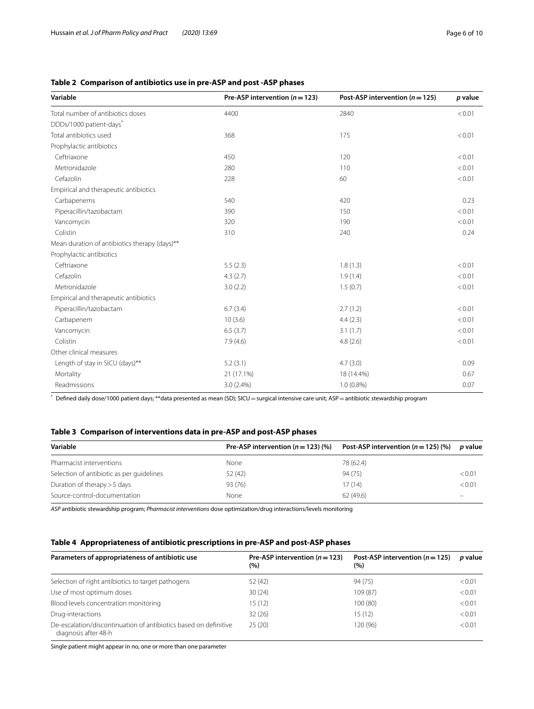# <span id="page-5-0"></span>**Table 2 Comparison of antibiotics use in pre-ASP and post -ASP phases**

| Variable                                      | Pre-ASP intervention ( $n = 123$ ) | Post-ASP intervention ( $n = 125$ ) | p value |  |
|-----------------------------------------------|------------------------------------|-------------------------------------|---------|--|
| Total number of antibiotics doses             | 4400                               | 2840                                | < 0.01  |  |
| DDDs/1000 patient-days <sup>*</sup>           |                                    |                                     |         |  |
| Total antibiotics used                        | 368                                | 175                                 | < 0.01  |  |
| Prophylactic antibiotics                      |                                    |                                     |         |  |
| Ceftriaxone                                   | 450                                | 120                                 | < 0.01  |  |
| Metronidazole                                 | 280                                | 110                                 | < 0.01  |  |
| Cefazolin                                     | 228                                | 60                                  | < 0.01  |  |
| Empirical and therapeutic antibiotics         |                                    |                                     |         |  |
| Carbapenems                                   | 540                                | 420                                 | 0.23    |  |
| Piperacillin/tazobactam                       | 390                                | 150                                 | < 0.01  |  |
| Vancomycin                                    | 320                                | 190                                 | < 0.01  |  |
| Colistin                                      | 310                                | 240                                 | 0.24    |  |
| Mean duration of antibiotics therapy (days)** |                                    |                                     |         |  |
| Prophylactic antibiotics                      |                                    |                                     |         |  |
| Ceftriaxone                                   | 5.5(2.3)                           | 1.8(1.3)                            | < 0.01  |  |
| Cefazolin                                     | 4.3(2.7)                           | 1.9(1.4)                            | < 0.01  |  |
| Metronidazole                                 | 3.0(2.2)                           | 1.5(0.7)                            | < 0.01  |  |
| Empirical and therapeutic antibiotics         |                                    |                                     |         |  |
| Piperacillin/tazobactam                       | 6.7(3.4)                           | 2.7(1.2)                            | < 0.01  |  |
| Carbapenem                                    | 10(3.6)                            | 4.4(2.3)                            | < 0.01  |  |
| Vancomycin                                    | 6.5(3.7)                           | 3.1(1.7)                            | < 0.01  |  |
| Colistin                                      | 7.9(4.6)                           | 4.8(2.6)                            | < 0.01  |  |
| Other clinical measures                       |                                    |                                     |         |  |
| Length of stay in SICU (days)**               | 5.2(3.1)                           | 4.7(3.0)                            | 0.09    |  |
| Mortality                                     | 21 (17.1%)                         | 18 (14.4%)                          | 0.67    |  |
| Readmissions                                  | 3.0 (2.4%)                         | $1.0(0.8\%)$                        | 0.07    |  |

\* Defned daily dose/1000 patient days; \*\*data presented as mean (SD); SICU=surgical intensive care unit; ASP=antibiotic stewardship program

# <span id="page-5-1"></span>**Table 3 Comparison of interventions data in pre-ASP and post-ASP phases**

| Variable                                  | Pre-ASP intervention $(n = 123)$ (%) | Post-ASP intervention $(n=125)$ (%) | <i>p</i> value |  |
|-------------------------------------------|--------------------------------------|-------------------------------------|----------------|--|
| Pharmacist interventions                  | None                                 | 78 (62.4)                           |                |  |
| Selection of antibiotic as per quidelines | 52 (42)                              | 94 (75)                             | < 0.01         |  |
| Duration of therapy > 5 days              | 93 (76)                              | 17(14)                              | < 0.01         |  |
| Source-control-documentation              | None                                 | 62(49.6)                            |                |  |

*ASP* antibiotic stewardship program; *Pharmacist interventions* dose optimization/drug interactions/levels monitoring

# <span id="page-5-2"></span>**Table 4 Appropriateness of antibiotic prescriptions in pre-ASP and post-ASP phases**

| Parameters of appropriateness of antibiotic use                                          | Pre-ASP intervention ( $n = 123$ )<br>(%) | Post-ASP intervention ( $n = 125$ )<br>(%) | <i>p</i> value |
|------------------------------------------------------------------------------------------|-------------------------------------------|--------------------------------------------|----------------|
| Selection of right antibiotics to target pathogens                                       | 52 (42)                                   | 94 (75)                                    | < 0.01         |
| Use of most optimum doses                                                                | 30(24)                                    | 109 (87)                                   | < 0.01         |
| Blood levels concentration monitoring                                                    | 15 (12)                                   | 100 (80)                                   | < 0.01         |
| Drug-interactions                                                                        | 32(26)                                    | 15 (12)                                    | < 0.01         |
| De-escalation/discontinuation of antibiotics based on definitive<br>diagnosis after 48-h | 25(20)                                    | 120 (96)                                   | < 0.01         |

Single patient might appear in no, one or more than one parameter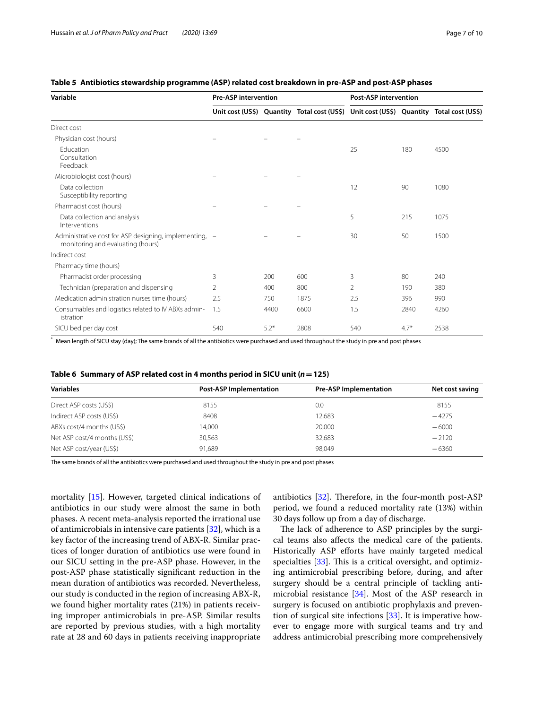| Variable                                                                                    | <b>Pre-ASP intervention</b> |        |                                                                                         | <b>Post-ASP intervention</b> |        |      |
|---------------------------------------------------------------------------------------------|-----------------------------|--------|-----------------------------------------------------------------------------------------|------------------------------|--------|------|
|                                                                                             |                             |        | Unit cost (US\$) Quantity Total cost (US\$) Unit cost (US\$) Quantity Total cost (US\$) |                              |        |      |
| Direct cost                                                                                 |                             |        |                                                                                         |                              |        |      |
| Physician cost (hours)                                                                      |                             |        |                                                                                         |                              |        |      |
| Education<br>Consultation<br>Feedback                                                       |                             |        |                                                                                         | 25                           | 180    | 4500 |
| Microbiologist cost (hours)                                                                 |                             |        |                                                                                         |                              |        |      |
| Data collection<br>Susceptibility reporting                                                 |                             |        |                                                                                         | 12                           | 90     | 1080 |
| Pharmacist cost (hours)                                                                     |                             |        |                                                                                         |                              |        |      |
| Data collection and analysis<br>Interventions                                               |                             |        |                                                                                         | 5                            | 215    | 1075 |
| Administrative cost for ASP designing, implementing, -<br>monitoring and evaluating (hours) |                             |        |                                                                                         | 30                           | 50     | 1500 |
| Indirect cost                                                                               |                             |        |                                                                                         |                              |        |      |
| Pharmacy time (hours)                                                                       |                             |        |                                                                                         |                              |        |      |
| Pharmacist order processing                                                                 | 3                           | 200    | 600                                                                                     | 3                            | 80     | 240  |
| Technician (preparation and dispensing                                                      | 2                           | 400    | 800                                                                                     | 2                            | 190    | 380  |
| Medication administration nurses time (hours)                                               | 2.5                         | 750    | 1875                                                                                    | 2.5                          | 396    | 990  |
| Consumables and logistics related to IV ABXs admin-<br>istration                            | 1.5                         | 4400   | 6600                                                                                    | 1.5                          | 2840   | 4260 |
| SICU bed per day cost                                                                       | 540                         | $5.2*$ | 2808                                                                                    | 540                          | $4.7*$ | 2538 |

# <span id="page-6-0"></span>**Table 5 Antibiotics stewardship programme (ASP) related cost breakdown in pre-ASP and post-ASP phases**

\* Mean length of SICU stay (day); The same brands of all the antibiotics were purchased and used throughout the study in pre and post phases

<span id="page-6-1"></span>

| Table 6 $\,$ Summary of ASP related cost in 4 months period in SICU unit ( $n$ $=$ 125) |
|-----------------------------------------------------------------------------------------|
|                                                                                         |

| <b>Variables</b>             | <b>Post-ASP Implementation</b> | <b>Pre-ASP Implementation</b> | Net cost saving |
|------------------------------|--------------------------------|-------------------------------|-----------------|
| Direct ASP costs (US\$)      | 8155                           | 0.0                           | 8155            |
| Indirect ASP costs (US\$)    | 8408                           | 12.683                        | $-4275$         |
| ABXs cost/4 months (US\$)    | 14,000                         | 20,000                        | $-6000$         |
| Net ASP cost/4 months (US\$) | 30,563                         | 32,683                        | $-2120$         |
| Net ASP cost/year (US\$)     | 91.689                         | 98.049                        | $-6360$         |

The same brands of all the antibiotics were purchased and used throughout the study in pre and post phases

mortality [[15](#page-8-13)]. However, targeted clinical indications of antibiotics in our study were almost the same in both phases. A recent meta-analysis reported the irrational use of antimicrobials in intensive care patients  $[32]$  $[32]$ , which is a key factor of the increasing trend of ABX-R. Similar practices of longer duration of antibiotics use were found in our SICU setting in the pre-ASP phase. However, in the post-ASP phase statistically signifcant reduction in the mean duration of antibiotics was recorded. Nevertheless, our study is conducted in the region of increasing ABX-R, we found higher mortality rates (21%) in patients receiving improper antimicrobials in pre-ASP. Similar results are reported by previous studies, with a high mortality rate at 28 and 60 days in patients receiving inappropriate antibiotics  $[32]$  $[32]$  $[32]$ . Therefore, in the four-month post-ASP period, we found a reduced mortality rate (13%) within 30 days follow up from a day of discharge.

The lack of adherence to ASP principles by the surgical teams also afects the medical care of the patients. Historically ASP efforts have mainly targeted medical specialties  $[33]$  $[33]$ . This is a critical oversight, and optimizing antimicrobial prescribing before, during, and after surgery should be a central principle of tackling antimicrobial resistance [[34\]](#page-9-10). Most of the ASP research in surgery is focused on antibiotic prophylaxis and prevention of surgical site infections [[33\]](#page-9-9). It is imperative however to engage more with surgical teams and try and address antimicrobial prescribing more comprehensively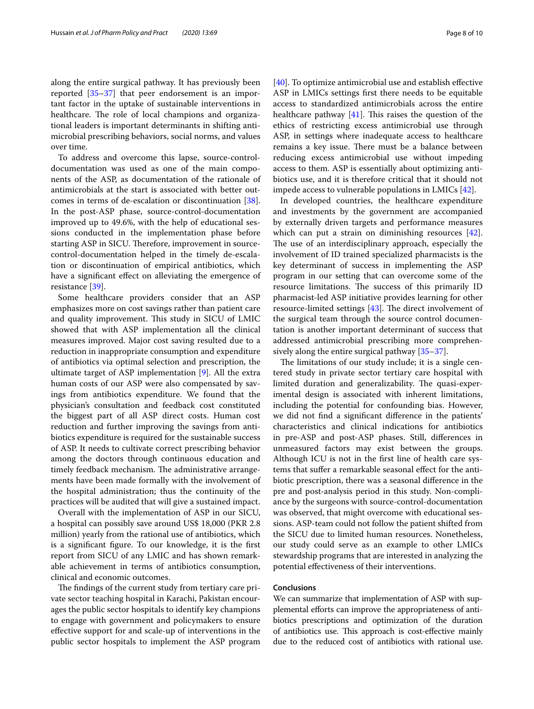along the entire surgical pathway. It has previously been reported [\[35](#page-9-11)[–37\]](#page-9-12) that peer endorsement is an important factor in the uptake of sustainable interventions in healthcare. The role of local champions and organizational leaders is important determinants in shifting antimicrobial prescribing behaviors, social norms, and values over time.

To address and overcome this lapse, source-controldocumentation was used as one of the main components of the ASP, as documentation of the rationale of antimicrobials at the start is associated with better outcomes in terms of de-escalation or discontinuation [\[38](#page-9-13)]. In the post-ASP phase, source-control-documentation improved up to 49.6%, with the help of educational sessions conducted in the implementation phase before starting ASP in SICU. Therefore, improvement in sourcecontrol-documentation helped in the timely de-escalation or discontinuation of empirical antibiotics, which have a significant effect on alleviating the emergence of resistance [[39\]](#page-9-14).

Some healthcare providers consider that an ASP emphasizes more on cost savings rather than patient care and quality improvement. This study in SICU of LMIC showed that with ASP implementation all the clinical measures improved. Major cost saving resulted due to a reduction in inappropriate consumption and expenditure of antibiotics via optimal selection and prescription, the ultimate target of ASP implementation [[9\]](#page-8-8). All the extra human costs of our ASP were also compensated by savings from antibiotics expenditure. We found that the physician's consultation and feedback cost constituted the biggest part of all ASP direct costs. Human cost reduction and further improving the savings from antibiotics expenditure is required for the sustainable success of ASP. It needs to cultivate correct prescribing behavior among the doctors through continuous education and timely feedback mechanism. The administrative arrangements have been made formally with the involvement of the hospital administration; thus the continuity of the practices will be audited that will give a sustained impact.

Overall with the implementation of ASP in our SICU, a hospital can possibly save around US\$ 18,000 (PKR 2.8 million) yearly from the rational use of antibiotics, which is a signifcant fgure. To our knowledge, it is the frst report from SICU of any LMIC and has shown remarkable achievement in terms of antibiotics consumption, clinical and economic outcomes.

The findings of the current study from tertiary care private sector teaching hospital in Karachi, Pakistan encourages the public sector hospitals to identify key champions to engage with government and policymakers to ensure efective support for and scale-up of interventions in the public sector hospitals to implement the ASP program

[[40\]](#page-9-15). To optimize antimicrobial use and establish effective ASP in LMICs settings frst there needs to be equitable access to standardized antimicrobials across the entire healthcare pathway  $[41]$  $[41]$ . This raises the question of the ethics of restricting excess antimicrobial use through ASP, in settings where inadequate access to healthcare remains a key issue. There must be a balance between reducing excess antimicrobial use without impeding access to them. ASP is essentially about optimizing antibiotics use, and it is therefore critical that it should not impede access to vulnerable populations in LMICs [\[42\]](#page-9-17).

In developed countries, the healthcare expenditure and investments by the government are accompanied by externally driven targets and performance measures which can put a strain on diminishing resources [\[42](#page-9-17)]. The use of an interdisciplinary approach, especially the involvement of ID trained specialized pharmacists is the key determinant of success in implementing the ASP program in our setting that can overcome some of the resource limitations. The success of this primarily ID pharmacist-led ASP initiative provides learning for other resource-limited settings  $[43]$  $[43]$ . The direct involvement of the surgical team through the source control documentation is another important determinant of success that addressed antimicrobial prescribing more comprehensively along the entire surgical pathway [\[35–](#page-9-11)[37\]](#page-9-12).

The limitations of our study include; it is a single centered study in private sector tertiary care hospital with limited duration and generalizability. The quasi-experimental design is associated with inherent limitations, including the potential for confounding bias. However, we did not fnd a signifcant diference in the patients' characteristics and clinical indications for antibiotics in pre-ASP and post-ASP phases. Still, diferences in unmeasured factors may exist between the groups. Although ICU is not in the frst line of health care systems that sufer a remarkable seasonal efect for the antibiotic prescription, there was a seasonal diference in the pre and post-analysis period in this study. Non-compliance by the surgeons with source-control-documentation was observed, that might overcome with educational sessions. ASP-team could not follow the patient shifted from the SICU due to limited human resources. Nonetheless, our study could serve as an example to other LMICs stewardship programs that are interested in analyzing the potential efectiveness of their interventions.

# **Conclusions**

We can summarize that implementation of ASP with supplemental efforts can improve the appropriateness of antibiotics prescriptions and optimization of the duration of antibiotics use. This approach is cost-effective mainly due to the reduced cost of antibiotics with rational use.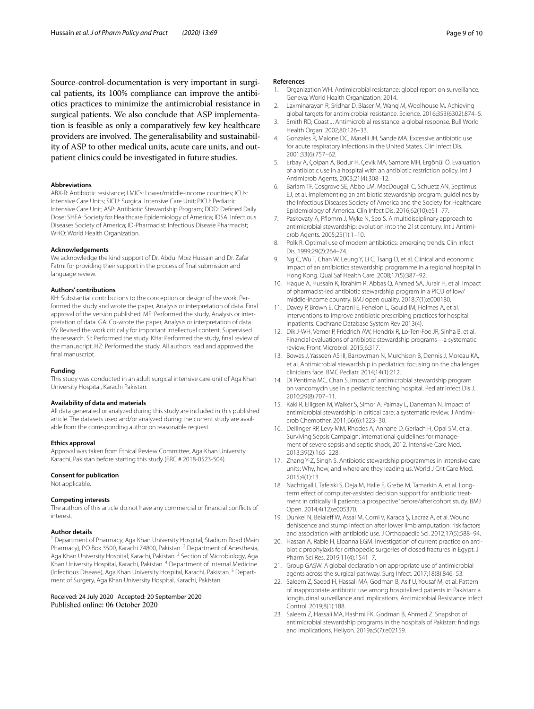Source-control-documentation is very important in surgical patients, its 100% compliance can improve the antibiotics practices to minimize the antimicrobial resistance in surgical patients. We also conclude that ASP implementation is feasible as only a comparatively few key healthcare providers are involved. The generalisability and sustainability of ASP to other medical units, acute care units, and outpatient clinics could be investigated in future studies.

### **Abbreviations**

ABX-R: Antibiotic resistance; LMICs: Lower/middle-income countries; ICUs: Intensive Care Units; SICU: Surgical Intensive Care Unit; PICU: Pediatric Intensive Care Unit; ASP: Antibiotic Stewardship Program; DDD: Defned Daily Dose; SHEA: Society for Healthcare Epidemiology of America; IDSA: Infectious Diseases Society of America; ID-Pharmacist: Infectious Disease Pharmacist; WHO: World Health Organization.

### **Acknowledgements**

We acknowledge the kind support of Dr. Abdul Moiz Hussain and Dr. Zafar Fatmi for providing their support in the process of fnal submission and language review.

### **Authors' contributions**

KH: Substantial contributions to the conception or design of the work. Performed the study and wrote the paper, Analysis or interpretation of data. Final approval of the version published. MF: Performed the study, Analysis or interpretation of data. GA: Co-wrote the paper, Analysis or interpretation of data. SS: Revised the work critically for important intellectual content. Supervised the research. SI: Performed the study. KHa: Performed the study, fnal review of the manuscript. HZ: Performed the study. All authors read and approved the final manuscript.

#### **Funding**

This study was conducted in an adult surgical intensive care unit of Aga Khan University Hospital, Karachi Pakistan.

#### **Availability of data and materials**

All data generated or analyzed during this study are included in this published article. The datasets used and/or analyzed during the current study are available from the corresponding author on reasonable request.

### **Ethics approval**

Approval was taken from Ethical Review Committee, Aga Khan University Karachi, Pakistan before starting this study (ERC # 2018-0523-504).

#### **Consent for publication**

Not applicable.

### **Competing interests**

The authors of this article do not have any commercial or fnancial conficts of interest.

# **Author details**

<sup>1</sup> Department of Pharmacy, Aga Khan University Hospital, Stadium Road (Main Pharmacy), P.O Box 3500, Karachi 74800, Pakistan. <sup>2</sup> Department of Anesthesia, Aga Khan University Hospital, Karachi, Pakistan.<sup>3</sup> Section of Microbiology, Aga Khan University Hospital, Karachi, Pakistan. 4 Department of Internal Medicine (Infectious Disease), Aga Khan University Hospital, Karachi, Pakistan. 5 Department of Surgery, Aga Khan University Hospital, Karachi, Pakistan.

Received: 24 July 2020 Accepted: 20 September 2020

### **References**

- <span id="page-8-0"></span>1. Organization WH. Antimicrobial resistance: global report on surveillance. Geneva: World Health Organization; 2014.
- <span id="page-8-1"></span>2. Laxminarayan R, Sridhar D, Blaser M, Wang M, Woolhouse M. Achieving global targets for antimicrobial resistance. Science. 2016;353(6302):874–5.
- <span id="page-8-2"></span>3. Smith RD, Coast J. Antimicrobial resistance: a global response. Bull World Health Organ. 2002;80:126–33.
- <span id="page-8-3"></span>4. Gonzales R, Malone DC, Maselli JH, Sande MA. Excessive antibiotic use for acute respiratory infections in the United States. Clin Infect Dis. 2001;33(6):757–62.
- <span id="page-8-4"></span>5. Erbay A, Çolpan A, Bodur H, Çevik MA, Samore MH, Ergönül Ö. Evaluation of antibiotic use in a hospital with an antibiotic restriction policy. Int J Antimicrob Agents. 2003;21(4):308–12.
- <span id="page-8-5"></span>6. Barlam TF, Cosgrove SE, Abbo LM, MacDougall C, Schuetz AN, Septimus EJ, et al. Implementing an antibiotic stewardship program: guidelines by the Infectious Diseases Society of America and the Society for Healthcare Epidemiology of America. Clin Infect Dis. 2016;62(10):e51–77.
- <span id="page-8-6"></span>7. Paskovaty A, Pflomm J, Myke N, Seo S. A multidisciplinary approach to antimicrobial stewardship: evolution into the 21st century. Int J Antimicrob Agents. 2005;25(1):1–10.
- <span id="page-8-7"></span>8. Polk R. Optimal use of modern antibiotics: emerging trends. Clin Infect Dis. 1999;29(2):264–74.
- <span id="page-8-8"></span>9. Ng C, Wu T, Chan W, Leung Y, Li C, Tsang D, et al. Clinical and economic impact of an antibiotics stewardship programme in a regional hospital in Hong Kong. Qual Saf Health Care. 2008;17(5):387–92.
- <span id="page-8-9"></span>10. Haque A, Hussain K, Ibrahim R, Abbas Q, Ahmed SA, Jurair H, et al. Impact of pharmacist-led antibiotic stewardship program in a PICU of low/ middle-income country. BMJ open quality. 2018;7(1):e000180.
- <span id="page-8-10"></span>11. Davey P, Brown E, Charani E, Fenelon L, Gould IM, Holmes A, et al. Interventions to improve antibiotic prescribing practices for hospital inpatients. Cochrane Database System Rev 2013(4).
- <span id="page-8-11"></span>12. Dik J-WH, Vemer P, Friedrich AW, Hendrix R, Lo-Ten-Foe JR, Sinha B, et al. Financial evaluations of antibiotic stewardship programs—a systematic review. Front Microbiol. 2015;6:317.
- <span id="page-8-12"></span>13. Bowes J, Yasseen AS III, Barrowman N, Murchison B, Dennis J, Moreau KA, et al. Antimicrobial stewardship in pediatrics: focusing on the challenges clinicians face. BMC Pediatr. 2014;14(1):212.
- 14. Di Pentima MC, Chan S. Impact of antimicrobial stewardship program on vancomycin use in a pediatric teaching hospital. Pediatr Infect Dis J. 2010;29(8):707–11.
- <span id="page-8-13"></span>15. Kaki R, Elligsen M, Walker S, Simor A, Palmay L, Daneman N. Impact of antimicrobial stewardship in critical care: a systematic review. J Antimicrob Chemother. 2011;66(6):1223–30.
- <span id="page-8-14"></span>16. Dellinger RP, Levy MM, Rhodes A, Annane D, Gerlach H, Opal SM, et al. Surviving Sepsis Campaign: international guidelines for management of severe sepsis and septic shock, 2012. Intensive Care Med. 2013;39(2):165–228.
- <span id="page-8-15"></span>17. Zhang Y-Z, Singh S. Antibiotic stewardship programmes in intensive care units: Why, how, and where are they leading us. World J Crit Care Med. 2015;4(1):13.
- <span id="page-8-16"></span>18. Nachtigall I, Tafelski S, Deja M, Halle E, Grebe M, Tamarkin A, et al. Longterm effect of computer-assisted decision support for antibiotic treatment in critically ill patients: a prospective 'before/after'cohort study. BMJ Open. 2014;4(12):e005370.
- <span id="page-8-17"></span>19. Dunkel N, Belaief W, Assal M, Corni V, Karaca Ş, Lacraz A, et al. Wound dehiscence and stump infection after lower limb amputation: risk factors and association with antibiotic use. J Orthopaedic Sci. 2012;17(5):588–94.
- 20. Hassan A, Rabie H, Elbanna EGM. Investigation of current practice on antibiotic prophylaxis for orthopedic surgeries of closed fractures in Egypt. J Pharm Sci Res. 2019;11(4):1541–7.
- <span id="page-8-18"></span>21. Group GASW. A global declaration on appropriate use of antimicrobial agents across the surgical pathway. Surg Infect. 2017;18(8):846–53.
- <span id="page-8-19"></span>22. Saleem Z, Saeed H, Hassali MA, Godman B, Asif U, Yousaf M, et al. Pattern of inappropriate antibiotic use among hospitalized patients in Pakistan: a longitudinal surveillance and implications. Antimicrobial Resistance Infect Control. 2019;8(1):188.
- <span id="page-8-20"></span>23. Saleem Z, Hassali MA, Hashmi FK, Godman B, Ahmed Z. Snapshot of antimicrobial stewardship programs in the hospitals of Pakistan: fndings and implications. Heliyon. 2019a;5(7):e02159.